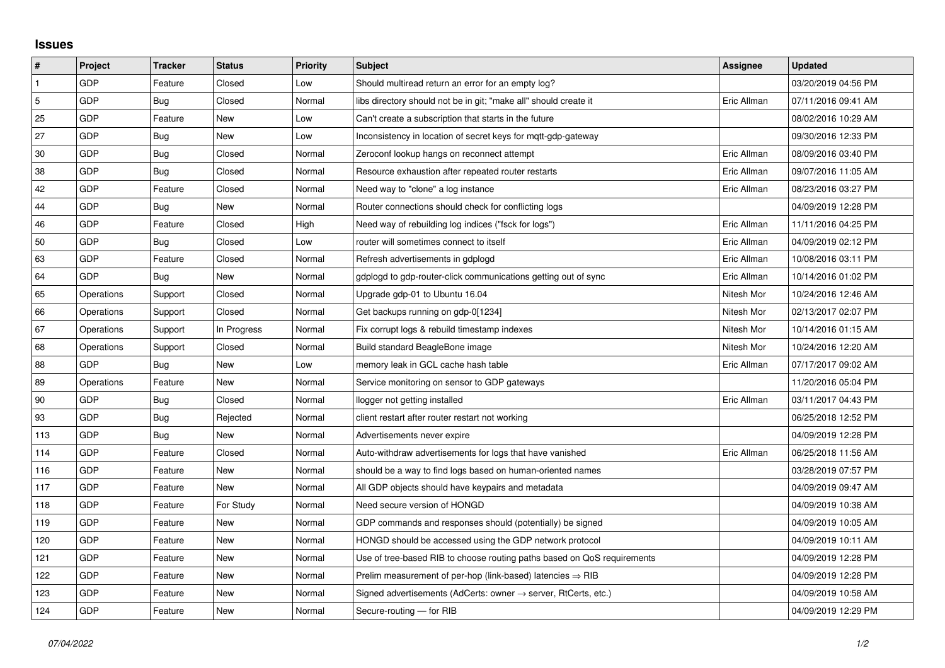## **Issues**

| $\vert$ #      | Project    | <b>Tracker</b> | <b>Status</b> | <b>Priority</b> | <b>Subject</b>                                                             | Assignee    | <b>Updated</b>      |
|----------------|------------|----------------|---------------|-----------------|----------------------------------------------------------------------------|-------------|---------------------|
| $\mathbf{1}$   | GDP        | Feature        | Closed        | Low             | Should multiread return an error for an empty log?                         |             | 03/20/2019 04:56 PM |
| $\overline{5}$ | GDP        | Bug            | Closed        | Normal          | libs directory should not be in git; "make all" should create it           | Eric Allman | 07/11/2016 09:41 AM |
| 25             | GDP        | Feature        | New           | Low             | Can't create a subscription that starts in the future                      |             | 08/02/2016 10:29 AM |
| 27             | GDP        | Bug            | New           | Low             | Inconsistency in location of secret keys for mgtt-gdp-gateway              |             | 09/30/2016 12:33 PM |
| 30             | GDP        | Bug            | Closed        | Normal          | Zeroconf lookup hangs on reconnect attempt                                 | Eric Allman | 08/09/2016 03:40 PM |
| 38             | GDP        | Bug            | Closed        | Normal          | Resource exhaustion after repeated router restarts                         | Eric Allman | 09/07/2016 11:05 AM |
| 42             | GDP        | Feature        | Closed        | Normal          | Need way to "clone" a log instance                                         | Eric Allman | 08/23/2016 03:27 PM |
| 44             | GDP        | Bug            | New           | Normal          | Router connections should check for conflicting logs                       |             | 04/09/2019 12:28 PM |
| 46             | GDP        | Feature        | Closed        | High            | Need way of rebuilding log indices ("fsck for logs")                       | Eric Allman | 11/11/2016 04:25 PM |
| 50             | GDP        | Bug            | Closed        | Low             | router will sometimes connect to itself                                    | Eric Allman | 04/09/2019 02:12 PM |
| 63             | GDP        | Feature        | Closed        | Normal          | Refresh advertisements in gdplogd                                          | Eric Allman | 10/08/2016 03:11 PM |
| 64             | GDP        | Bug            | New           | Normal          | gdplogd to gdp-router-click communications getting out of sync             | Eric Allman | 10/14/2016 01:02 PM |
| 65             | Operations | Support        | Closed        | Normal          | Upgrade gdp-01 to Ubuntu 16.04                                             | Nitesh Mor  | 10/24/2016 12:46 AM |
| 66             | Operations | Support        | Closed        | Normal          | Get backups running on gdp-0[1234]                                         | Nitesh Mor  | 02/13/2017 02:07 PM |
| 67             | Operations | Support        | In Progress   | Normal          | Fix corrupt logs & rebuild timestamp indexes                               | Nitesh Mor  | 10/14/2016 01:15 AM |
| 68             | Operations | Support        | Closed        | Normal          | Build standard BeagleBone image                                            | Nitesh Mor  | 10/24/2016 12:20 AM |
| 88             | GDP        | Bug            | New           | Low             | memory leak in GCL cache hash table                                        | Eric Allman | 07/17/2017 09:02 AM |
| 89             | Operations | Feature        | New           | Normal          | Service monitoring on sensor to GDP gateways                               |             | 11/20/2016 05:04 PM |
| 90             | GDP        | Bug            | Closed        | Normal          | llogger not getting installed                                              | Eric Allman | 03/11/2017 04:43 PM |
| 93             | GDP        | Bug            | Rejected      | Normal          | client restart after router restart not working                            |             | 06/25/2018 12:52 PM |
| 113            | GDP        | Bug            | New           | Normal          | Advertisements never expire                                                |             | 04/09/2019 12:28 PM |
| 114            | GDP        | Feature        | Closed        | Normal          | Auto-withdraw advertisements for logs that have vanished                   | Eric Allman | 06/25/2018 11:56 AM |
| 116            | GDP        | Feature        | New           | Normal          | should be a way to find logs based on human-oriented names                 |             | 03/28/2019 07:57 PM |
| 117            | GDP        | Feature        | New           | Normal          | All GDP objects should have keypairs and metadata                          |             | 04/09/2019 09:47 AM |
| 118            | GDP        | Feature        | For Study     | Normal          | Need secure version of HONGD                                               |             | 04/09/2019 10:38 AM |
| 119            | GDP        | Feature        | New           | Normal          | GDP commands and responses should (potentially) be signed                  |             | 04/09/2019 10:05 AM |
| 120            | GDP        | Feature        | New           | Normal          | HONGD should be accessed using the GDP network protocol                    |             | 04/09/2019 10:11 AM |
| 121            | GDP        | Feature        | New           | Normal          | Use of tree-based RIB to choose routing paths based on QoS requirements    |             | 04/09/2019 12:28 PM |
| 122            | GDP        | Feature        | New           | Normal          | Prelim measurement of per-hop (link-based) latencies $\Rightarrow$ RIB     |             | 04/09/2019 12:28 PM |
| 123            | GDP        | Feature        | New           | Normal          | Signed advertisements (AdCerts: owner $\rightarrow$ server, RtCerts, etc.) |             | 04/09/2019 10:58 AM |
| 124            | GDP        | Feature        | <b>New</b>    | Normal          | Secure-routing - for RIB                                                   |             | 04/09/2019 12:29 PM |